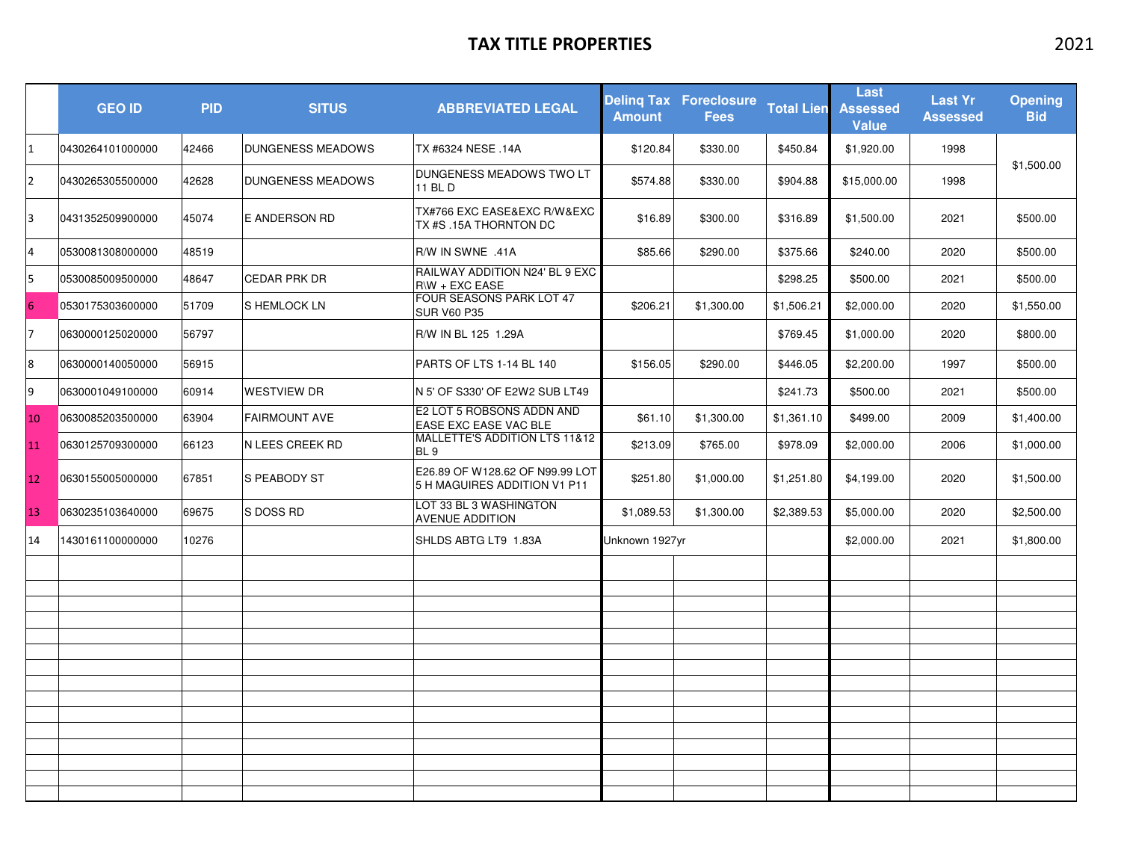## **TAX TITLE PROPERTIES** 2021

|                | <b>GEO ID</b>    | <b>PID</b> | <b>SITUS</b>             | <b>ABBREVIATED LEGAL</b>                                        | <b>Amount</b>  | <b>Deling Tax Foreclosure</b><br><b>Fees</b> | <b>Total Lien</b> | Last<br><b>Assessed</b><br><b>Value</b> | <b>Last Yr</b><br><b>Assessed</b> | <b>Opening</b><br><b>Bid</b> |
|----------------|------------------|------------|--------------------------|-----------------------------------------------------------------|----------------|----------------------------------------------|-------------------|-----------------------------------------|-----------------------------------|------------------------------|
| 11             | 0430264101000000 | 42466      | <b>DUNGENESS MEADOWS</b> | TX #6324 NESE .14A                                              | \$120.84       | \$330.00                                     | \$450.84          | \$1,920.00                              | 1998                              |                              |
| <b>2</b>       | 0430265305500000 | 42628      | <b>DUNGENESS MEADOWS</b> | DUNGENESS MEADOWS TWO LT<br>11 BL D                             | \$574.88       | \$330.00                                     | \$904.88          | \$15,000.00                             | 1998                              | \$1,500.00                   |
| 3              | 0431352509900000 | 45074      | E ANDERSON RD            | TX#766 EXC EASE&EXC R/W&EXC<br>TX #S .15A THORNTON DC           | \$16.89        | \$300.00                                     | \$316.89          | \$1,500.00                              | 2021                              | \$500.00                     |
| $\overline{4}$ | 0530081308000000 | 48519      |                          | R/W IN SWNE .41A                                                | \$85.66        | \$290.00                                     | \$375.66          | \$240.00                                | 2020                              | \$500.00                     |
| 5              | 0530085009500000 | 48647      | <b>CEDAR PRK DR</b>      | RAILWAY ADDITION N24' BL 9 EXC<br>$R/W + EXC$ EASE              |                |                                              | \$298.25          | \$500.00                                | 2021                              | \$500.00                     |
| 6              | 0530175303600000 | 51709      | S HEMLOCK LN             | FOUR SEASONS PARK LOT 47<br><b>SUR V60 P35</b>                  | \$206.21       | \$1,300.00                                   | \$1,506.21        | \$2,000.00                              | 2020                              | \$1,550.00                   |
| 17             | 0630000125020000 | 56797      |                          | R/W IN BL 125 1.29A                                             |                |                                              | \$769.45          | \$1,000.00                              | 2020                              | \$800.00                     |
| 8              | 0630000140050000 | 56915      |                          | PARTS OF LTS 1-14 BL 140                                        | \$156.05       | \$290.00                                     | \$446.05          | \$2,200.00                              | 1997                              | \$500.00                     |
| 9              | 0630001049100000 | 60914      | <b>WESTVIEW DR</b>       | N 5' OF S330' OF E2W2 SUB LT49                                  |                |                                              | \$241.73          | \$500.00                                | 2021                              | \$500.00                     |
| 10             | 0630085203500000 | 63904      | <b>FAIRMOUNT AVE</b>     | E2 LOT 5 ROBSONS ADDN AND<br>EASE EXC EASE VAC BLE              | \$61.10        | \$1,300.00                                   | \$1,361.10        | \$499.00                                | 2009                              | \$1,400.00                   |
| 11             | 0630125709300000 | 66123      | N LEES CREEK RD          | MALLETTE'S ADDITION LTS 11&12<br>BL <sub>9</sub>                | \$213.09       | \$765.00                                     | \$978.09          | \$2,000.00                              | 2006                              | \$1,000.00                   |
| 12             | 0630155005000000 | 67851      | S PEABODY ST             | E26.89 OF W128.62 OF N99.99 LOT<br>5 H MAGUIRES ADDITION V1 P11 | \$251.80       | \$1,000.00                                   | \$1,251.80        | \$4,199.00                              | 2020                              | \$1,500.00                   |
| 13             | 0630235103640000 | 69675      | S DOSS RD                | LOT 33 BL 3 WASHINGTON<br><b>AVENUE ADDITION</b>                | \$1,089.53     | \$1,300.00                                   | \$2,389.53        | \$5,000.00                              | 2020                              | \$2,500.00                   |
| 14             | 1430161100000000 | 10276      |                          | SHLDS ABTG LT9 1.83A                                            | Unknown 1927yr |                                              |                   | \$2,000.00                              | 2021                              | \$1,800.00                   |
|                |                  |            |                          |                                                                 |                |                                              |                   |                                         |                                   |                              |
|                |                  |            |                          |                                                                 |                |                                              |                   |                                         |                                   |                              |
|                |                  |            |                          |                                                                 |                |                                              |                   |                                         |                                   |                              |
|                |                  |            |                          |                                                                 |                |                                              |                   |                                         |                                   |                              |
|                |                  |            |                          |                                                                 |                |                                              |                   |                                         |                                   |                              |
|                |                  |            |                          |                                                                 |                |                                              |                   |                                         |                                   |                              |
|                |                  |            |                          |                                                                 |                |                                              |                   |                                         |                                   |                              |
|                |                  |            |                          |                                                                 |                |                                              |                   |                                         |                                   |                              |
|                |                  |            |                          |                                                                 |                |                                              |                   |                                         |                                   |                              |
|                |                  |            |                          |                                                                 |                |                                              |                   |                                         |                                   |                              |
|                |                  |            |                          |                                                                 |                |                                              |                   |                                         |                                   |                              |
|                |                  |            |                          |                                                                 |                |                                              |                   |                                         |                                   |                              |